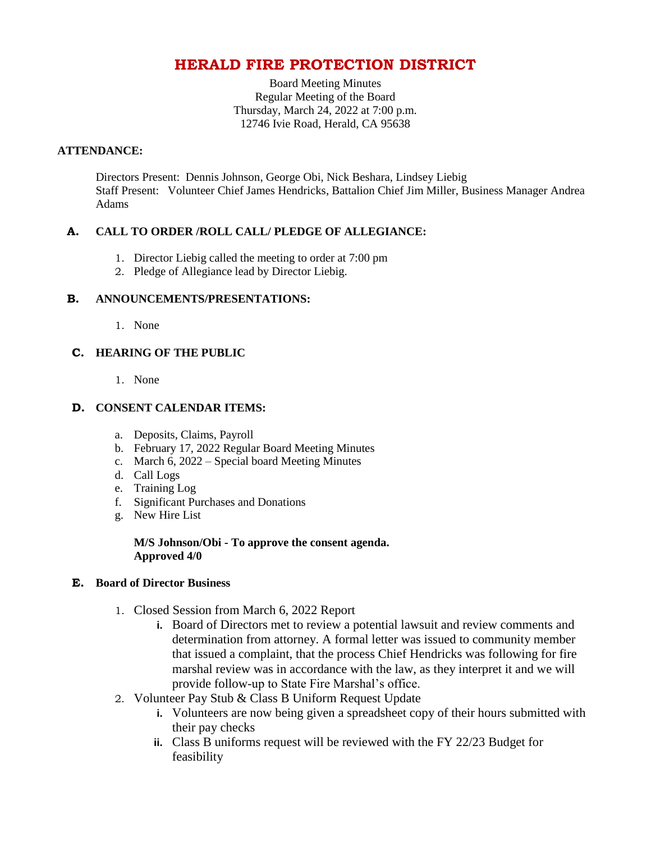## **HERALD FIRE PROTECTION DISTRICT**

Board Meeting Minutes Regular Meeting of the Board Thursday, March 24, 2022 at 7:00 p.m. 12746 Ivie Road, Herald, CA 95638

#### **ATTENDANCE:**

Directors Present: Dennis Johnson, George Obi, Nick Beshara, Lindsey Liebig Staff Present: Volunteer Chief James Hendricks, Battalion Chief Jim Miller, Business Manager Andrea Adams

### **A. CALL TO ORDER /ROLL CALL/ PLEDGE OF ALLEGIANCE:**

- 1. Director Liebig called the meeting to order at 7:00 pm
- 2. Pledge of Allegiance lead by Director Liebig.

### **B. ANNOUNCEMENTS/PRESENTATIONS:**

1. None

### **C. HEARING OF THE PUBLIC**

1. None

### **D. CONSENT CALENDAR ITEMS:**

- a. Deposits, Claims, Payroll
- b. February 17, 2022 Regular Board Meeting Minutes
- c. March 6, 2022 Special board Meeting Minutes
- d. Call Logs
- e. Training Log
- f. Significant Purchases and Donations
- g. New Hire List

#### **M/S Johnson/Obi - To approve the consent agenda. Approved 4/0**

#### **E. Board of Director Business**

- 1. Closed Session from March 6, 2022 Report
	- **i.** Board of Directors met to review a potential lawsuit and review comments and determination from attorney. A formal letter was issued to community member that issued a complaint, that the process Chief Hendricks was following for fire marshal review was in accordance with the law, as they interpret it and we will provide follow-up to State Fire Marshal's office.
- 2. Volunteer Pay Stub & Class B Uniform Request Update
	- **i.** Volunteers are now being given a spreadsheet copy of their hours submitted with their pay checks
	- **ii.** Class B uniforms request will be reviewed with the FY 22/23 Budget for feasibility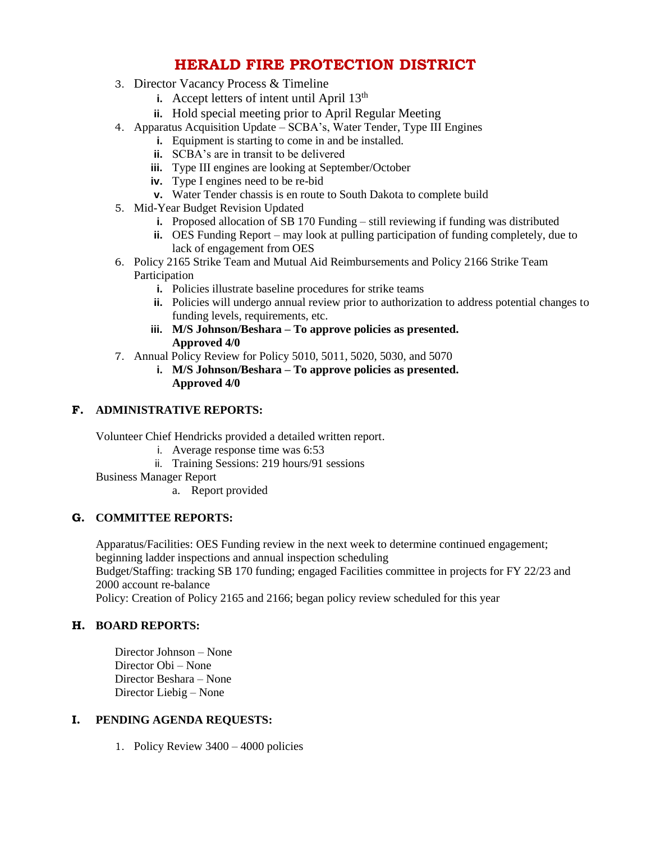# **HERALD FIRE PROTECTION DISTRICT**

- 3. Director Vacancy Process & Timeline
	- **i.** Accept letters of intent until April  $13<sup>th</sup>$
	- **ii.** Hold special meeting prior to April Regular Meeting
- 4. Apparatus Acquisition Update SCBA's, Water Tender, Type III Engines
	- **i.** Equipment is starting to come in and be installed.
	- **ii.** SCBA's are in transit to be delivered
	- **iii.** Type III engines are looking at September/October
	- **iv.** Type I engines need to be re-bid
	- **v.** Water Tender chassis is en route to South Dakota to complete build
- 5. Mid-Year Budget Revision Updated
	- **i.** Proposed allocation of SB 170 Funding still reviewing if funding was distributed
	- **ii.** OES Funding Report may look at pulling participation of funding completely, due to lack of engagement from OES
- 6. Policy 2165 Strike Team and Mutual Aid Reimbursements and Policy 2166 Strike Team Participation
	- **i.** Policies illustrate baseline procedures for strike teams
	- **ii.** Policies will undergo annual review prior to authorization to address potential changes to funding levels, requirements, etc.
	- **iii. M/S Johnson/Beshara – To approve policies as presented. Approved 4/0**
- 7. Annual Policy Review for Policy 5010, 5011, 5020, 5030, and 5070
	- **i. M/S Johnson/Beshara – To approve policies as presented. Approved 4/0**

### **F. ADMINISTRATIVE REPORTS:**

Volunteer Chief Hendricks provided a detailed written report.

- i. Average response time was 6:53
- ii. Training Sessions: 219 hours/91 sessions
- Business Manager Report
	- a. Report provided

### **G. COMMITTEE REPORTS:**

Apparatus/Facilities: OES Funding review in the next week to determine continued engagement; beginning ladder inspections and annual inspection scheduling Budget/Staffing: tracking SB 170 funding; engaged Facilities committee in projects for FY 22/23 and 2000 account re-balance Policy: Creation of Policy 2165 and 2166; began policy review scheduled for this year

## **H. BOARD REPORTS:**

Director Johnson – None Director Obi – None Director Beshara – None Director Liebig – None

### **I. PENDING AGENDA REQUESTS:**

1. Policy Review 3400 – 4000 policies